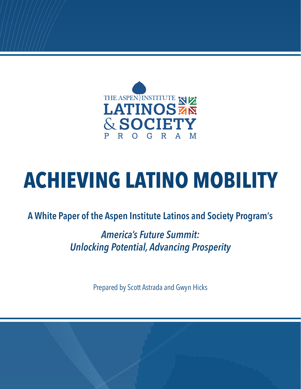

# **ACHIEVING LATINO MOBILITY**

### **A White Paper of the Aspen Institute Latinos and Society Program's**

## *America's Future Summit: Unlocking Potential, Advancing Prosperity*

Prepared by Scott Astrada and Gwyn Hicks

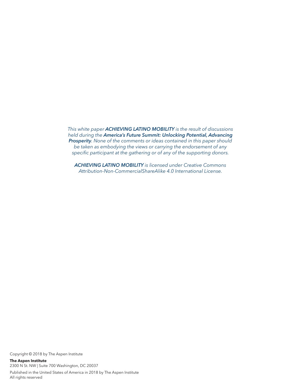<span id="page-1-0"></span>*This white paper ACHIEVING LATINO MOBILITY is the result of discussions held during the America's Future Summit: Unlocking Potential, Advancing Prosperity. None of the comments or ideas contained in this paper should be taken as embodying the views or carrying the endorsement of any specific participant at the gathering or of any of the supporting donors.* 

*ACHIEVING LATINO MOBILITY is licensed under Creative Commons Attribution-Non-CommercialShareAlike 4.0 International License.*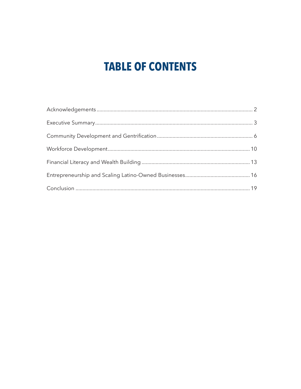# **TABLE OF CONTENTS**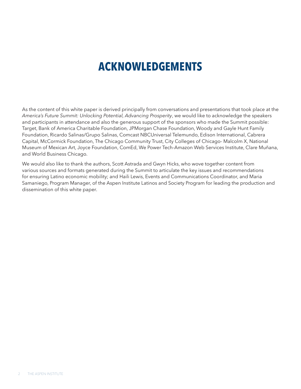# **ACKNOWLEDGEMENTS**

As the content of this white paper is derived principally from conversations and presentations that took place at the *America's Future Summit: Unlocking Potential, Advancing Prosperity*, we would like to acknowledge the speakers and participants in attendance and also the generous support of the sponsors who made the Summit possible: Target, Bank of America Charitable Foundation, JPMorgan Chase Foundation, Woody and Gayle Hunt Family Foundation, Ricardo Salinas/Grupo Salinas, Comcast NBCUniversal Telemundo, Edison International, Cabrera Capital, McCormick Foundation, The Chicago Community Trust, City Colleges of Chicago- Malcolm X, National Museum of Mexican Art, Joyce Foundation, ComEd, We Power Tech-Amazon Web Services Institute, Clare Muñana, and World Business Chicago.

We would also like to thank the authors, Scott Astrada and Gwyn Hicks, who wove together content from various sources and formats generated during the Summit to articulate the key issues and recommendations for ensuring Latino economic mobility; and Haili Lewis, Events and Communications Coordinator, and Maria Samaniego, Program Manager, of the Aspen Institute Latinos and Society Program for leading the production and dissemination of this white paper.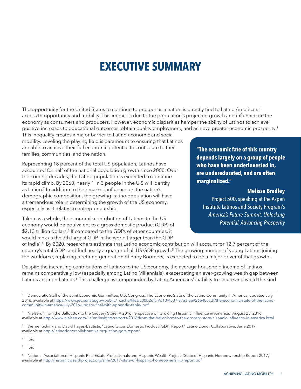# **EXECUTIVE SUMMARY**

<span id="page-4-0"></span>The opportunity for the United States to continue to prosper as a nation is directly tied to Latino Americans' access to opportunity and mobility. This impact is due to the population's projected growth and influence on the economy as consumers and producers. However, economic disparities hamper the ability of Latinos to achieve positive increases to educational outcomes, obtain quality employment, and achieve greater economic prosperity.1

This inequality creates a major barrier to Latino economic and social mobility. Leveling the playing field is paramount to ensuring that Latinos are able to achieve their full economic potential to contribute to their families, communities, and the nation.

Representing 18 percent of the total US population, Latinos have accounted for half of the national population growth since 2000. Over the coming decades, the Latino population is expected to continue its rapid climb. By 2060, nearly 1 in 3 people in the U.S will identify as Latino.<sup>2</sup> In addition to their marked influence on the nation's demographic composition, the growing Latino population will have a tremendous role in determining the growth of the US economy, especially as it relates to entrepreneurship.

Taken as a whole, the economic contribution of Latinos to the US economy would be equivalent to a gross domestic product (GDP) of \$2.13 trillion dollars.<sup>3</sup> If compared to the GDPs of other countries, it would rank as the 7th largest GDP in the world (larger than the GDP

**"The economic fate of this country depends largely on a group of people who have been underinvested in, are undereducated, and are often marginalized."** 

#### **Melissa Bradley**

Project 500, speaking at the Aspen Institute Latinos and Society Program's *America's Future Summit: Unlocking Potential, Advancing Prosperity*

of India).4 By 2020, researchers estimate that Latino economic contribution will account for 12.7 percent of the country's total GDP—and fuel nearly a quarter of all US GDP growth.5 The growing number of young Latinos joining the workforce, replacing a retiring generation of Baby Boomers, is expected to be a major driver of that growth.

Despite the increasing contributions of Latinos to the US economy, the average household income of Latinos remains comparatively low (especially among Latino Millennials), exacerbating an ever-growing wealth gap between Latinos and non-Latinos.<sup>6</sup> This challenge is compounded by Latino Americans' inability to secure and wield the kind

Democratic Staff of the Joint Economic Committee, U.S. Congress, The Economic State of the Latino Community in America, updated July 2016, available at https://www.jec.senate.gov/public/\_cache/files/c80b[2](http://www.census.gov/newsroom/press-releases/2016/cb16-107.html)6fc-9d13-4537-a7a3-aa926e483cdf/the-economic-state-of-the-latinocommunity-in-america-july-2016-update-final-with-appendix-table-.pdf

<sup>&</sup>lt;sup>2</sup> Nielsen, "From the Ballot Box to the Grocery Store: A 2016 Perspective on Growing Hispanic Influence in America," August 23, 2016, available at http://www.nielsen.com/us/en/insights/reports/2016/from-the-ballot-box-to-the-grocery-store-hispanic-influence-in-america.html

<sup>&</sup>lt;sup>3</sup> Werner Schink and David Hayes-Bau[ti](http://www.pewhispanic.org/2016/04/20/the-nations-latino-population-is-defined-by-its-youth/)sta, "Latino Gross Domestic Product (GDP) Report," Latino Donor Collaborative, June 2017, available at http://latinodonorcollaborative.org/latino-gdp-report/

<sup>4</sup> Ibid.

<sup>5</sup> Ibid.

<sup>6</sup> National Association of Hispanic Real Estate Professionals and Hispanic Wealth Project, "State of Hispanic Homeownership Report 2017," available at <http://hispanicwealthproject.org/shhr/2017-state-of-hispanic-homeownership-report.pdf>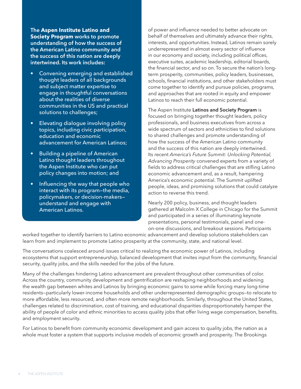**The Aspen Institute Latino and Society Program works to promote understanding of how the success of the American Latino community and the success of this nation are deeply intertwined. Its work includes:** 

- Convening emerging and established thought leaders of all backgrounds and subject matter expertise to engage in thoughtful conversations about the realities of diverse communities in the US and practical solutions to challenges;
- Elevating dialogue involving policy topics, including civic participation, education and economic advancement for American Latinos;
- Building a pipeline of American Latino thought leaders throughout the Aspen Institute who can put policy changes into motion; and
- Influencing the way that people who interact with its program—the media, policymakers, or decision-makers understand and engage with American Latinos.

of power and influence needed to better advocate on behalf of themselves and ultimately advance their rights, interests, and opportunities. Instead, Latinos remain sorely underrepresented in almost every sector of influence in our economy and society, including political offices, executive suites, academic leadership, editorial boards, the financial sector, and so on. To secure the nation's longterm prosperity, communities, policy leaders, businesses, schools, financial institutions, and other stakeholders must come together to identify and pursue policies, programs, and approaches that are rooted in equity and empower Latinos to reach their full economic potential.

The Aspen Institute **Latinos and Society Program** is focused on bringing together thought leaders, policy professionals, and business executives from across a wide spectrum of sectors and ethnicities to find solutions to shared challenges and promote understanding of how the success of the American Latino community and the success of this nation are deeply intertwined. Its recent *America's Future Summit: Unlocking Potential, Advancing Prosperity* convened experts from a variety of fields to address critical challenges that are stifling Latino economic advancement and, as a result, hampering America's economic potential. The Summit uplifted people, ideas, and promising solutions that could catalyze action to reverse this trend.

Nearly 200 policy, business, and thought leaders gathered at Malcolm X College in Chicago for the Summit and participated in a series of illuminating keynote presentations, personal testimonials, panel and oneon-one discussions, and breakout sessions. Participants

worked together to identify barriers to Latino economic advancement and develop solutions stakeholders can learn from and implement to promote Latino prosperity at the community, state, and national level.

The conversations coalesced around issues critical to realizing the economic power of Latinos, including ecosystems that support entrepreneurship, balanced development that invites input from the community, financial security, quality jobs, and the skills needed for the jobs of the future.

Many of the challenges hindering Latino advancement are prevalent throughout other communities of color. Across the country, community development and gentrification are reshaping neighborhoods and widening the wealth gap between whites and Latinos by bringing economic gains to some while forcing many long-time residents—particularly lower-income households and other underrepresented demographic groups—to relocate to more affordable, less resourced, and often more remote neighborhoods. Similarly, throughout the United States, challenges related to discrimination, cost of training, and educational disparities disproportionately hamper the ability of people of color and ethnic minorities to access quality jobs that offer living wage compensation, benefits, and employment security.

For Latinos to benefit from community economic development and gain access to quality jobs, the nation as a whole must foster a system that supports inclusive models of economic growth and prosperity. The Brookings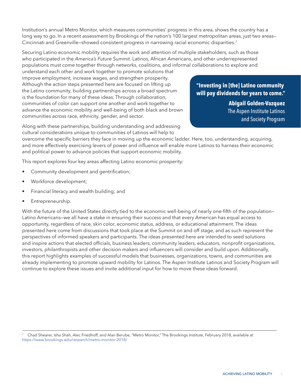Institution's annual Metro Monitor, which measures communities' progress in this area, shows the country has a long way to go. In a recent assessment by Brookings of the nation's 100 largest metropolitan areas, just two areas-Cincinnati and Greenville–showed consistent progress in narrowing racial economic disparities.<sup>7</sup>

Securing Latino economic mobility requires the work and attention of multiple stakeholders, such as those who participated in the *America's Future Summit*. Latinos, African Americans, and other underrepresented populations must come together through networks, coalitions, and informal collaborations to explore and

understand each other and work together to promote solutions that improve employment, increase wages, and strengthen prosperity. Although the action steps presented here are focused on lifting up the Latino community, building partnerships across a broad spectrum is the foundation for many of these ideas. Through collaboration, communities of color can support one another and work together to advance the economic mobility and well-being of both black and brown communities across race, ethnicity, gender, and sector.

**"Investing in [the] Latino community will pay dividends for years to come."** 

> **Abigail Golden-Vazquez** The Aspen Institute Latinos and Society Program

Along with these partnerships, building understanding and addressing cultural considerations unique to communities of Latinos will help to

overcome the specific barriers they face in moving up the economic ladder. Here, too, understanding, acquiring, and more effectively exercising levers of power and influence will enable more Latinos to harness their economic and political power to advance policies that support economic mobility.

This report explores four key areas affecting Latino economic prosperity:

- Community development and gentrification;
- Workforce development;
- Financial literacy and wealth building; and
- Entrepreneurship.

With the future of the United States directly tied to the economic well-being of nearly one-fifth of the population– Latino Americans—we all have a stake in ensuring their success and that every American has equal access to opportunity, regardless of race, skin color, economic status, address, or educational attainment. The ideas presented here come from discussions that took place at the Summit on and off stage, and as such represent the perspectives of informed speakers and participants. The ideas presented here are intended to seed solutions and inspire actions that elected officials, business leaders, community leaders, educators, nonprofit organizations, investors, philanthropists and other decision makers and influencers will consider and build upon. Additionally, this report highlights examples of successful models that businesses, organizations, towns, and communities are already implementing to promote upward mobility for Latinos. The Aspen Institute Latinos and Society Program will continue to explore these issues and invite additional input for how to move these ideas forward.

<sup>7</sup> Chad Shearer, Isha Shah, Alec Friedhoff, and Alan Berube, "Metro Monitor," The Brookings Institute, February 2018, available at https://www.brookings.edu/research/metro-monitor-2018/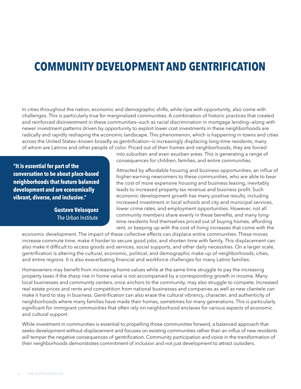# <span id="page-7-0"></span>**COMMUNITY DEVELOPMENT AND GENTRIFICATION**

In cities throughout the nation, economic and demographic shifts, while ripe with opportunity, also come with challenges. This is particularly true for marginalized communities. A combination of historic practices that created and reinforced disinvestment in these communities—such as racial discrimination in mortgage lending—along with newer investment patterns driven by opportunity to exploit lower cost investments in these neighborhoods are radically and rapidly reshaping the economic landscape. This phenomenon, which is happening in towns and cities across the United States—known broadly as gentrification—is increasingly displacing long-time residents, many of whom are Latinos and other people of color. Priced out of their homes and neighborhoods, they are forced

**"It is essential for part of the conversation to be about place-based neighborhoods that feature balanced development and are economically vibrant, diverse, and inclusive."** 

> **Gustavo Velasquez** The Urban Institute

into suburban and even exurban areas. This is generating a range of consequences for children, families, and entire communities.

Attracted by affordable housing and business opportunities, an influx of higher-earning newcomers to these communities, who are able to bear the cost of more expensive housing and business leasing, inevitably leads to increased property tax revenue and business profit. Such economic development growth has many positive results, including increased investment in local schools and city and municipal services, lower crime rates, and employment opportunities. However, not all community members share evenly in these benefits, and many longtime residents find themselves priced out of buying homes, affording rent, or keeping up with the cost of living increases that come with the

economic development. The impact of these collective effects can displace entire communities. These moves increase commute time, make it harder to secure good jobs, and shorten time with family. This displacement can also make it difficult to access goods and services, social supports, and other daily necessities. On a larger scale, gentrification is altering the cultural, economic, political, and demographic make-up of neighborhoods, cities, and entire regions. It is also exacerbating financial and workforce challenges for many Latino families.

Homeowners may benefit from increasing home values while at the same time struggle to pay the increasing property taxes if the sharp rise in home value is not accompanied by a corresponding growth in income. Many local businesses and community centers, once anchors to the community, may also struggle to compete. Increased real estate prices and rents and competition from national businesses and companies as well as new clientele can make it hard to stay in business. Gentrification can also erase the cultural vibrancy, character, and authenticity of neighborhoods where many families have made their homes, sometimes for many generations. This is particularly significant for immigrant communities that often rely on neighborhood enclaves for various aspects of economic and cultural support.

While investment in communities is essential to propelling those communities forward, a balanced approach that seeks development without displacement and focuses on existing communities rather than an influx of new residents will temper the negative consequences of gentrification. Community participation and voice in the transformation of their neighborhoods demonstrates commitment of inclusion and not just development to attract outsiders.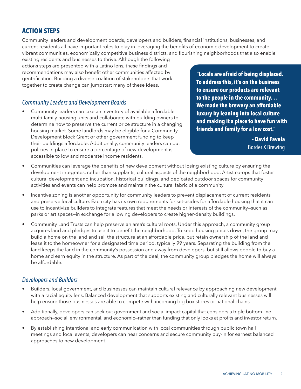#### **ACHIEVING LATINO MOBILITY**

#### **ACTION STEPS**

Community leaders and development boards, developers and builders, financial institutions, businesses, and current residents all have important roles to play in leveraging the benefits of economic development to create vibrant communities, economically competitive business districts, and flourishing neighborhoods that also enable

existing residents and businesses to thrive. Although the following actions steps are presented with a Latino lens, these findings and recommendations may also benefit other communities affected by gentrification. Building a diverse coalition of stakeholders that work together to create change can jumpstart many of these ideas.

#### *Community Leaders and Development Boards*

• Community leaders can take an inventory of available affordable multi-family housing units and collaborate with building owners to determine how to preserve the current price structure in a changing housing market. Some landlords may be eligible for a Community Development Block Grant or other government funding to keep their buildings affordable. Additionally, community leaders can put policies in place to ensure a percentage of new development is accessible to low and moderate income residents.

**"Locals are afraid of being displaced. To address this, it's on the business to ensure our products are relevant to the people in the community. . . We made the brewery an affordable luxury by leaning into local culture and making it a place to have fun with friends and family for a low cost."** 

> **– David Favela** Border X Brewing

- Communities can leverage the benefits of new development without losing existing culture by ensuring the development integrates, rather than supplants, cultural aspects of the neighborhood. Artist co-ops that foster cultural development and incubation, historical buildings, and dedicated outdoor spaces for community activities and events can help promote and maintain the cultural fabric of a community.
- Incentive zoning is another opportunity for community leaders to prevent displacement of current residents and preserve local culture. Each city has its own requirements for set-asides for affordable housing that it can use to incentivize builders to integrate features that meet the needs or interests of the community—such as parks or art spaces—in exchange for allowing developers to create higher-density buildings.
- Community Land Trusts can help preserve an area's cultural roots. Under this approach, a community group acquires land and pledges to use it to benefit the neighborhood. To keep housing prices down, the group may build a home on the land and sell the structure at an affordable price, but retain ownership of the land and lease it to the homeowner for a designated time period, typically 99 years. Separating the building from the land keeps the land in the community's possession and away from developers, but still allows people to buy a home and earn equity in the structure. As part of the deal, the community group pledges the home will always be affordable.

#### *Developers and Builders*

- Builders, local government, and businesses can maintain cultural relevance by approaching new development with a racial equity lens. Balanced development that supports existing and culturally relevant businesses will help ensure those businesses are able to compete with incoming big box stores or national chains.
- Additionally, developers can seek out government and social impact capital that considers a triple bottom line approach—social, environmental, and economic—rather than funding that only looks at profits and investor return.
- By establishing intentional and early communication with local communities through public town hall meetings and local events, developers can hear concerns and secure community buy-in for earnest balanced approaches to new development.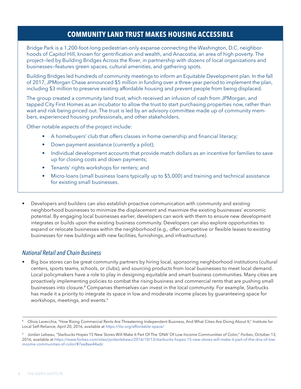### **COMMUNITY LAND TRUST MAKES HOUSING ACCESSIBLE**

Bridge Park is a 1,200-foot-long pedestrian-only expanse connecting the Washington, D.C. neighborhoods of Capitol Hill, known for gentrification and wealth, and Anacostia, an area of high poverty. The project—led by Building Bridges Across the River, in partnership with dozens of local organizations and businesses—features green spaces, cultural amenities, and gathering spots.

Building Bridges led hundreds of community meetings to inform an Equitable Development plan. In the fall of 2017, JPMorgan Chase announced \$5 million in funding over a three-year period to implement the plan, including \$3 million to preserve existing affordable housing and prevent people from being displaced.

The group created a community land trust, which received an infusion of cash from JPMorgan, and tapped City First Homes as an incubator to allow the trust to start purchasing properties now, rather than wait and risk being priced out. The trust is led by an advisory committee made up of community members, experienced housing professionals, and other stakeholders.

Other notable aspects of the project include:

- A homebuyers' club that offers classes in home ownership and financial literacy;
- Down payment assistance (currently a pilot);
- Individual development accounts that provide match dollars as an incentive for families to save up for closing costs and down payments;
- Tenants' rights workshops for renters; and
- Micro-loans (small business loans typically up to \$5,000) and training and technical assistance for existing small businesses.
- Developers and builders can also establish proactive communication with community and existing neighborhood businesses to minimize the displacement and maximize the existing businesses' economic potential. By engaging local businesses earlier, developers can work with them to ensure new development integrates or builds upon the existing business community. Developers can also explore opportunities to expand or relocate businesses within the neighborhood (e.g., offer competitive or flexible leases to existing businesses for new buildings with new facilities, furnishings, and infrastructure).

#### *National Retail and Chain Business*

• Big box stores can be great community partners by hiring local, sponsoring neighborhood institutions (cultural centers, sports teams, schools, or clubs), and sourcing products from local businesses to meet local demand. Local policymakers have a role to play in designing equitable and smart business communities. Many cities are proactively implementing policies to combat the rising business and commercial rents that are pushing small businesses into closure.<sup>8</sup> Companies themselves can invest in the local community. For example, Starbucks has made it a priority to integrate its space in low and moderate income places by guaranteeing space for workshops, meetings, and events.<sup>9</sup>

<sup>8</sup> Olivia Lavecchia, "How Rising Commercial Rents Are Threatening Independe[n](http://minorityhealth.hhs.gov/omh/browse.aspx?lvl=3&lvlid=64)t Business, And What Cities Are Doing About It," Institute for Local Self-Reliance, April 20, 2016, available at https://ilsr.org/affordable-space/

<sup>9</sup> Jordan Lebeau, "Starbucks Hopes 15 New Stores Will Make It Part Of The 'DNA' Of Low-Income Communities of Color," *Forbes*, October 13, 2016, available at https://www.forbes.com/sites/jordanlebeau/2016/10/13/starbucks-hopes-15-new-stores-will-make-it-part-of-the-dna-of-lowincome-communities-of-color/#7ee8ee44adc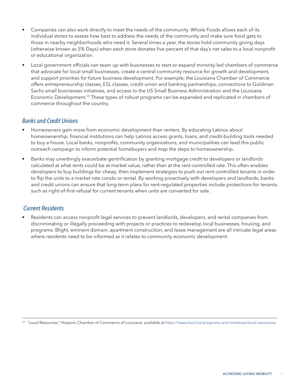- Companies can also work directly to meet the needs of the community. Whole Foods allows each of its individual stores to assess how best to address the needs of the community and make sure food gets to those in nearby neighborhoods who need it. Several times a year, the stores hold community giving days (otherwise known as 5% Days) when each store donates five percent of that day's net sales to a local nonprofit or educational organization.
- Local government officials can team up with businesses to start or expand minority-led chambers of commerce that advocate for local small businesses, create a central community resource for growth and development, and support priorities for future business development. For example, the Louisiana Chamber of Commerce offers entrepreneurship classes, ESL classes, credit union and banking partnerships, connections to Goldman Sachs small businesses initiatives, and access to the US Small Business Administration and the Louisiana Economic Development.10 These types of robust programs can be expanded and replicated in chambers of commerce throughout the country.

#### *Banks and Credit Unions*

- Homeowners gain more from economic development than renters. By educating Latinos about homeownership, financial institutions can help Latinos access grants, loans, and credit-building tools needed to buy a house. Local banks, nonprofits, community organizations, and municipalities can lead this public outreach campaign to inform potential homebuyers and map the steps to homeownership.
- Banks may unwittingly exacerbate gentrification by granting mortgage credit to developers or landlords calculated at what rents could be at market value, rather than at the rent-controlled rate. This often enables developers to buy buildings for cheap, then implement strategies to push out rent-controlled tenants in order to flip the units to a market rate condo or rental. By working proactively with developers and landlords, banks and credit unions can ensure that long-term plans for rent-regulated properties include protections for tenants, such as right-of-first-refusal for current tenants when units are converted for sale.

#### *Current Residents*

• Residents can access nonprofit legal services to prevent landlords, developers, and rental companies from discriminating or illegally proceeding with projects or practices to redevelop local businesses, housing, and programs. Blight, eminent domain, apartment construction, and lease management are all intricate legal areas where residents need to be informed as it relates to community economic development.

<sup>10</sup> "Local Resources," Hispanic Chamber of Commerce of Louisiana, available at https://www.hccl.biz/programs-and-initiatives/local-resources/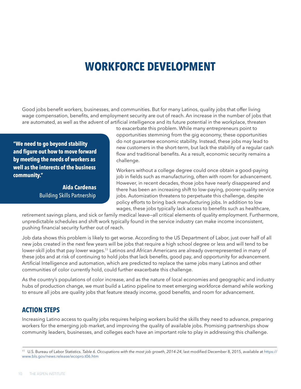# <span id="page-11-0"></span>**WORKFORCE DEVELOPMENT**

Good jobs benefit workers, businesses, and communities. But for many Latinos, quality jobs that offer living wage compensation, benefits, and employment security are out of reach. An increase in the number of jobs that are automated, as well as the advent of artificial intelligence and its future potential in the workplace, threaten

**"We need to go beyond stability and figure out how to move forward by meeting the needs of workers as well as the interests of the business community."** 

> **Aida Cardenas** Building Skills Partnership

to exacerbate this problem. While many entrepreneurs point to opportunities stemming from the gig economy, these opportunities do not guarantee economic stability. Instead, these jobs may lead to new customers in the short-term, but lack the stability of a regular cash flow and traditional benefits. As a result, economic security remains a challenge.

Workers without a college degree could once obtain a good-paying job in fields such as manufacturing, often with room for advancement. However, in recent decades, those jobs have nearly disappeared and there has been an increasing shift to low-paying, poorer-quality service jobs. Automization threatens to perpetuate this challenge, despite policy efforts to bring back manufacturing jobs. In addition to low wages, these jobs typically lack access to benefits such as healthcare,

retirement savings plans, and sick or family medical leave—all critical elements of quality employment. Furthermore, unpredictable schedules and shift work typically found in the service industry can make income inconsistent, pushing financial security further out of reach.

Job data shows this problem is likely to get worse. According to the US Department of Labor, just over half of all new jobs created in the next few years will be jobs that require a high school degree or less and will tend to be lower-skill jobs that pay lower wages.<sup>11</sup> Latinos and African Americans are already overrepresented in many of these jobs and at risk of continuing to hold jobs that lack benefits, good pay, and opportunity for advancement. Artificial Intelligence and automation, which are predicted to replace the same jobs many Latinos and other communities of color currently hold, could further exacerbate this challenge.

As the country's populations of color increase, and as the nature of local economies and geographic and industry hubs of production change, we must build a Latino pipeline to meet emerging workforce demand while working to ensure all jobs are quality jobs that feature steady income, good benefits, and room for advancement.

#### **ACTION STEPS**

Increasing Latino access to quality jobs requires helping workers build the skills they need to advance, preparing workers for the emerging job market, and improving the quality of available jobs. Promising partnerships show community leaders, businesses, and colleges each have an important role to play in addressing this challenge.

<sup>11</sup> U.S. Bureau of Labor Statistics. *Table 6. Occupations with the most job growth, 2014-24*, last modified December 8, 2015, available at https:// www.bls.gov/news.release/ecopro.t06.htm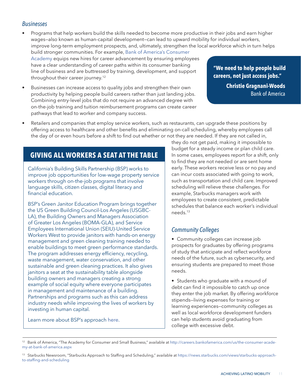#### *Businesses*

• Programs that help workers build the skills needed to become more productive in their jobs and earn higher wages—also known as human-capital development—can lead to upward mobility for individual workers, improve long-term employment prospects, and, ultimately, strengthen the local workforce which in turn helps build stronger communities. For example, [Bank of America's Consumer](http://careers.bankofamerica.com/us/the-consumer-academy-at-bank-of-america.aspx) 

[Academy](http://careers.bankofamerica.com/us/the-consumer-academy-at-bank-of-america.aspx) equips new hires for career advancement by ensuring employees have a clear understanding of career paths within its consumer banking line of business and are buttressed by training, development, and support throughout their career journey.<sup>12</sup>

• Businesses can increase access to quality jobs and strengthen their own productivity by helping people build careers rather than just landing jobs. Combining entry-level jobs that do not require an advanced degree with on-the-job training and tuition reimbursement programs can create career pathways that lead to worker and company success.

**"We need to help people build careers, not just access jobs." Christie Gragnani-Woods** Bank of America

• Retailers and companies that employ service workers, such as restaurants, can upgrade these positions by offering access to healthcare and other benefits and eliminating on-call scheduling, whereby employees call the day of or even hours before a shift to find out whether or not they are needed. If they are not called in,

### **GIVING ALL WORKERS A SEAT AT THE TABLE**

California's Building Skills Partnership (BSP) works to improve job opportunities for low-wage property service workers through on-the-job programs that involve language skills, citizen classes, digital literacy and financial education.

BSP's Green Janitor Education Program brings together the US Green Building Council-Los Angeles (USGBC-LA), the Building Owners and Managers Association of Greater Los Angeles (BOMA-GLA), and Service Employees International Union (SEIU)-United Service Workers West to provide janitors with hands-on energy management and green cleaning training needed to enable buildings to meet green performance standards. The program addresses energy efficiency, recycling, waste management, water conservation, and other sustainable and green cleaning practices. It also gives janitors a seat at the sustainability table alongside building owners and managers creating a strong example of social equity where everyone participates in management and maintenance of a building. Partnerships and programs such as this can address industry needs while improving the lives of workers by investing in human capital.

Learn more about BSP's approach [here.](http://www.buildingskills.org)

they do not get paid, making it impossible to budget for a steady income or plan child care. In some cases, employees report for a shift, only to find they are not needed or are sent home early. These workers receive less or no pay and can incur costs associated with going to work, such as transportation and child care. Improved scheduling will relieve these challenges. For example, Starbucks managers work with employees to create consistent, predictable schedules that balance each worker's individual needs.13

#### *Community Colleges*

• Community colleges can increase job prospects for graduates by offering programs of study that anticipate and reflect workforce needs of the future, such as cybersecurity, and ensuring students are prepared to meet those needs.

• Students who graduate with a mound of debt can find it impossible to catch up once they enter the job market. By offering workforce stipends—living expenses for training or learning experiences—community colleges as well as local workforce development funders can help students avoid graduating from college with excessive debt.

Bank of America, "The Academy for Consumer and Small Business," available at http://careers.bankofamerica.com/us/the-consumer-academy-at-bank-of-america.aspx

<sup>&</sup>lt;sup>13</sup> Starbucks Newsroom, "Starbucks Approach to Staffing and Scheduling," available at https://news.starbucks.com/views/starbucks-approachto-staffing-and-scheduling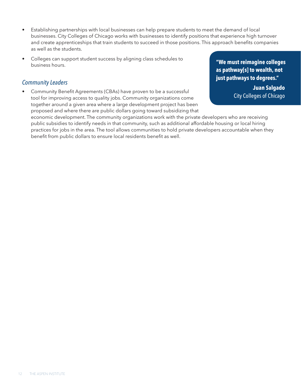- Establishing partnerships with local businesses can help prepare students to meet the demand of local businesses. City Colleges of Chicago works with businesses to identify positions that experience high turnover and create apprenticeships that train students to succeed in those positions. This approach benefits companies as well as the students.
- Colleges can support student success by aligning class schedules to business hours.

#### *Community Leaders*

• Community Benefit Agreements (CBAs) have proven to be a successful tool for improving access to quality jobs. Community organizations come together around a given area where a large development project has been proposed and where there are public dollars going toward subsidizing that **"We must reimagine colleges as pathway[s] to wealth, not just pathways to degrees."** 

> **Juan Salgado** City Colleges of Chicago

economic development. The community organizations work with the private developers who are receiving public subsidies to identify needs in that community, such as additional affordable housing or local hiring practices for jobs in the area. The tool allows communities to hold private developers accountable when they benefit from public dollars to ensure local residents benefit as well.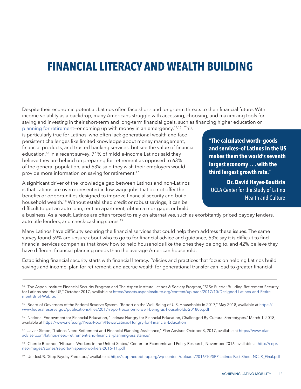# <span id="page-14-0"></span>**FINANCIAL LITERACY AND WEALTH BUILDING**

Despite their economic potential, Latinos often face short- and long-term threats to their financial future. With income volatility as a backdrop, many Americans struggle with accessing, choosing, and maximizing tools for saving and investing in their short-term and long-term financial goals, such as financing higher education or

[planning for retirement—](https://assets.aspeninstitute.org/content/uploads/2017/10/Designed-Latinos-and-Retirement-Brief-Web.pdf)or coming up with money in an emergency.14,15 This is particularly true for Latinos, who often lack generational wealth and face persistent challenges like limited knowledge about money management, financial products, and trusted banking services, but see the value of financial education.<sup>16</sup> In a recent survey, 71% of middle-income Latinos said they believe they are behind on preparing for retirement as opposed to 63% of the general population, and 63% said they wish their employers would provide more information on saving for retirement.<sup>17</sup>

A significant driver of the knowledge gap between Latinos and non-Latinos is that Latinos are overrepresented in low-wage jobs that do not offer the benefits or opportunities designed to improve financial security and build household wealth.<sup>18</sup> Without established credit or robust savings, it can be difficult to get an auto loan, rent an apartment, obtain a mortgage, or build

**"The calculated worth—goods and services—of Latinos in the US makes them the world's seventh largest economy . . . with the third largest growth rate."** 

**Dr. David Hayes-Bautista** UCLA Center for the Study of Latino Health and Culture

a business. As a result, Latinos are often forced to rely on alternatives, such as exorbitantly priced payday lenders, auto title lenders, and check-cashing stores.19

Many Latinos have difficulty securing the financial services that could help them address these issues. The same survey found 59% are unsure about who to go to for financial advice and guidance, 53% say it is difficult to find financial services companies that know how to help households like the ones they belong to, and 42% believe they have different financial planning needs than the average American household.

Establishing financial security starts with financial literacy. Policies and practices that focus on helping Latinos build savings and income, plan for retirement, and accrue wealth for generational transfer can lead to greater financial

- <sup>17</sup> Javier Simon, "Latinos Need Retirement and Financial Planning Assistance," Plan Advisor, October 3, 2017, available at https://www.plan adviser.com/latinos-need-retirement-and-financial-planning-assistance/
- <sup>18</sup> Cherrie Bucknor, "Hispanic Workers in the United States," Center for Economic and Policy Research, November 2016, available at http://cepr. net/images/stories/reports/hispanic-workers-2016-11.pdf

<sup>&</sup>lt;sup>14</sup> The Aspen Institute Financial Security Program and The Aspen Institute Latinos & Society Program, "Sí Se Puede: Building Retirement Security for Latinos and the US," October 2017, available at https://assets.aspeninstitute.org/content/uploads/2017/10/Designed-Latinos-and-Retirement-Brief-Web.pdf

<sup>&</sup>lt;sup>15</sup> Board of Governors of the Federal Reserve System, "Report on the Well-Being of U.S. Households in 2017," May 2018, available at https:// www.federalreserve.gov/publications/files/2017-report-economic-well-being-us-households-201805.pdf

<sup>&</sup>lt;sup>16</sup> National Endowment for Financial Education, "Latinas: Hungry for Financial Education, Challenged By Cultural Stereotypes," March 1, 2018, available at https://www.nefe.org/Press-Room/News/Latinas-Hungry-for-Financial-Education

<sup>19</sup> UnidosUS, "Stop Payday Predators," available at http://stopthedebttrap.org/wp-content/uploads/2016/10/SPP-Latinos-Fact-Sheet-NCLR\_Final.pdf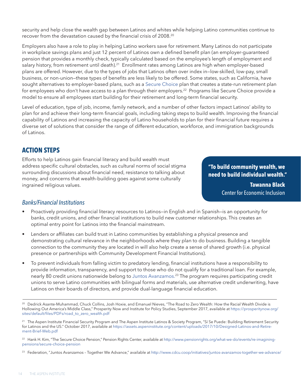security and help close the wealth gap between Latinos and whites while helping Latino communities continue to recover from the devastation caused by the financial crisis of 2008.20

Employers also have a role to play in helping Latino workers save for retirement. Many Latinos do not participate in workplace savings plans and just 12 percent of Latinos own a defined benefit plan (an employer-guaranteed pension that provides a monthly check, typically calculated based on the employee's length of employment and salary history, from retirement until death).<sup>21</sup> Enrollment rates among Latinos are high when employer-based plans are offered. However, due to the types of jobs that Latinos often over index in—low-skilled, low-pay, small business, or non-union—these types of benefits are less likely to be offered. Some states, such as California, have sought alternatives to employer-based plans, such as a [Secure Choice](http://www.pensionrights.org/what-we-do/events/re-imagining-pensions/secure-choice-pension) plan that creates a state-run retirement plan for employees who don't have access to a plan through their employers.<sup>22</sup> Programs like Secure Choice provide a model to ensure all employees start building for their retirement and long-term financial security.

Level of education, type of job, income, family network, and a number of other factors impact Latinos' ability to plan for and achieve their long-term financial goals, including taking steps to build wealth. Improving the financial capability of Latinos and increasing the capacity of Latino households to plan for their financial future requires a diverse set of solutions that consider the range of different education, workforce, and immigration backgrounds of Latinos.

### **ACTION STEPS**

Efforts to help Latinos gain financial literacy and build wealth must address specific cultural obstacles, such as cultural norms of social stigma surrounding discussions about financial need, resistance to talking about money, and concerns that wealth-building goes against some culturally ingrained religious values.

**"To build community wealth, we need to build individual wealth."** 

> **Tawanna Black** Center for Economic Inclusion

#### *Banks/Financial Institutions*

- Proactively providing financial literacy resources to Latinos—in English and in Spanish—is an opportunity for banks, credit unions, and other financial institutions to build new customer relationships. This creates an optimal entry point for Latinos into the financial mainstream.
- Lenders or affiliates can build trust in Latino communities by establishing a physical presence and demonstrating cultural relevance in the neighborhoods where they plan to do business. Building a tangible connection to the community they are located in will also help create a sense of shared growth (i.e. physical presence or partnerships with Community Development Financial Institutions).
- To prevent individuals from falling victim to predatory lending, financial institutions have a responsibility to provide information, transparency, and support to those who do not qualify for a traditional loan. For example, nearly 80 credit unions nationwide belong to [Juntos Avanzamos.2](http://www.cdcu.coop/initiatives/juntos-avanzamos-together-we-advance/)3 The program requires participating credit unions to serve Latino communities with bilingual forms and materials, use alternative credit underwriting, have Latinos on their boards of directors, and provide dual-language financial education.

<sup>&</sup>lt;sup>20</sup> Dedrick Asante-Muhammad, Chuck Collins, Josh Hoxie, and Emanuel Nieves, "The Road to Zero Wealth: How the Racial Wealth Divide is Hollowing Out America's Middle Class," Prosperity Now and Institute for Policy Studies, September 2017, available at https://prosperitynow.org/ sites/default/files/PDFs/road\_to\_zero\_wealth.pdf

<sup>&</sup>lt;sup>21</sup> The Aspen Institute Financial Security Program and The Aspen Institute Latinos & Society Program, "Sí Se Puede: Building Retirement Security for Latinos and the US." October 2017, available at https://assets.aspeninstitute.org/content/uploads/2017/10/Designed-Latinos-and-Retirement-Brief-Web.pdf

<sup>&</sup>lt;sup>22</sup> Hank H. Kim, "The Secure Choice Pension," Pension Rights Center, available at http://www.pensionrights.org/what-we-do/events/re-imaginingpensions/secure-choice-pension

Federation, "Juntos Avanzamos - Together We Advance," available at http://www.cdcu.coop/initiatives/juntos-avanzamos-together-we-advance/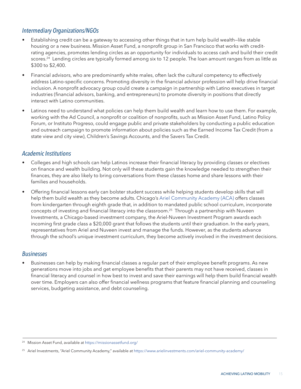### *Intermediary Organizations/NGOs*

- Establishing credit can be a gateway to accessing other things that in turn help build wealth—like stable housing or a new business. [Mission Asset Fund](https://missionassetfund.org), a nonprofit group in San Francisco that works with creditrating agencies, promotes lending circles as an opportunity for individuals to access cash and build their credit scores.<sup>24</sup> Lending circles are typically formed among six to 12 people. The loan amount ranges from as little as \$300 to \$2,400.
- Financial advisors, who are predominantly white males, often lack the cultural competency to effectively address Latino-specific concerns. Promoting diversity in the financial advisor profession will help drive financial inclusion. A nonprofit advocacy group could create a campaign in partnership with Latino executives in target industries (financial advisors, banking, and entrepreneurs) to promote diversity in positions that directly interact with Latino communities.
- Latinos need to understand what policies can help them build wealth and learn how to use them. For example, working with the Ad Council, a nonprofit or coalition of nonprofits, such as Mission Asset Fund, Latino Policy Forum, or Instituto Progreso, could engage public and private stakeholders by conducting a public education and outreach campaign to promote information about policies such as the Earned Income Tax Credit (from a state view and city view), Children's Savings Accounts, and the Savers Tax Credit.

#### *Academic Institutions*

- Colleges and high schools can help Latinos increase their financial literacy by providing classes or electives on finance and wealth building. Not only will these students gain the knowledge needed to strengthen their finances, they are also likely to bring conversations from these classes home and share lessons with their families and households.
- Offering financial lessons early can bolster student success while helping students develop skills that will help them build wealth as they become adults. Chicago's [Ariel Community Academy \(ACA\)](https://www.arielinvestments.com/ariel-community-academy/) offers classes from kindergarten through eighth grade that, in addition to mandated public school curriculum, incorporate concepts of investing and financial literacy into the classroom.25 Through a partnership with Nuveen Investments, a Chicago-based investment company, the Ariel-Nuveen Investment Program awards each incoming first grade class a \$20,000 grant that follows the students until their graduation. In the early years, representatives from Ariel and Nuveen invest and manage the funds. However, as the students advance through the school's unique investment curriculum, they become actively involved in the investment decisions.

#### *Businesses*

• Businesses can help by making financial classes a regular part of their employee benefit programs. As new generations move into jobs and get employee benefits that their parents may not have received, classes in financial literacy and counsel in how best to invest and save their earnings will help them build financial wealth over time. Employers can also offer financial wellness programs that feature financial planning and counseling services, budgeting assistance, and debt counseling.

<sup>24</sup> Mission Asset Fund, available at https://missionassetfund.org/

<sup>&</sup>lt;sup>25</sup> Ariel Investments, "Ariel Community Academy," available at https://www.arielinvestments.com/ariel-community-academy/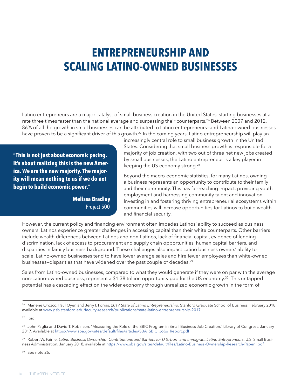# <span id="page-17-0"></span>**ENTREPRENEURSHIP AND SCALING LATINO-OWNED BUSINESSES**

Latino entrepreneurs are a major catalyst of small business creation in the United States, starting businesses at a rate three times faster than the national average and surpassing their counterparts.<sup>26</sup> Between 2007 and 2012, 86% of all the growth in small businesses can be attributed to Latino entrepreneurs—and Latina-owned businesses have proven to be a significant driver of this growth.<sup>27</sup> In the coming years, Latino entrepreneurship will play an

**"This is not just about economic pacing. It's about realizing this is the new America. We are the new majority. The majority will mean nothing to us if we do not begin to build economic power."**

> **Melissa Bradley** Project 500

increasingly central role to small business growth in the United States. Considering that small business growth is responsible for a majority of job creation, with two out of three net new jobs created by small businesses, the Latino entrepreneur is a key player in keeping the US economy strong.28

Beyond the macro-economic statistics, for many Latinos, owning a business represents an opportunity to contribute to their family and their community. This has far-reaching impact, providing youth employment and harnessing community talent and innovation. Investing in and fostering thriving entrepreneurial ecosystems within communities will increase opportunities for Latinos to build wealth and financial security.

However, the current policy and financing environment often impedes Latinos' ability to succeed as business owners. Latinos experience greater challenges in accessing capital than their white counterparts. Other barriers include wealth differences between Latinos and non-Latinos, lack of financial capital, evidence of lending discrimination, lack of access to procurement and supply chain opportunities, human capital barriers, and disparities in family business background. These challenges also impact Latino business owners' ability to scale. Latino-owned businesses tend to have lower average sales and hire fewer employees than white-owned businesses-disparities that have widened over the past couple of decades.<sup>29</sup>

Sales from Latino-owned businesses, compared to what they would generate if they were on par with the average non-Latino-owned business, represent a \$1.38 trillion opportunity gap for the US economy.<sup>30</sup> This untapped potential has a cascading effect on the wider economy through unrealized economic growth in the form of

<sup>29</sup> Robert W. Fairlie, *Latino Business Ownership: Contributions and Barriers for U.S.-born and Immigrant Latino Entrepreneurs*, U.S. Small Business Administration, January 2018, available at https://www.sba.gov/sites/default/files/Latino-Business-Ownership-Research-Paper\_.pdf

<sup>30</sup> See note 26.

<sup>26</sup> Marlene Orozco, Paul Oyer, and Jerry I. Porras, *2017 State of Latino Entrepreneurship*, Stanford Graduate School of Business, February 2018, available at www.gsb.stanford.edu/faculty-research/publications/state-latino-entrepreneurship-2017

 $27$  Ibid.

<sup>&</sup>lt;sup>28</sup> John Paglia and David T. Robinson. "Measuring the Role of the SBIC Program in Small Business Job Creation." Library of Congress. January 2017. Available at https://www.sba.gov/sites/default/files/articles/SBA\_SBIC\_Jobs\_Report.pdf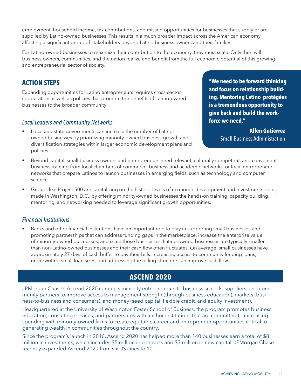employment, household income, tax contributions, and missed opportunities for businesses that supply or are supplied by Latino-owned businesses. This results in a much broader impact across the American economy, affecting a significant group of stakeholders beyond Latino business owners and their families.

For Latino-owned businesses to maximize their contribution to the economy, they must scale. Only then will business owners, communities, and the nation realize and benefit from the full economic potential of this growing and entrepreneurial sector of society.

### **ACTION STEPS**

Expanding opportunities for Latino entrepreneurs requires cross-sector cooperation as well as policies that promote the benefits of Latino-owned businesses to the broader community.

#### *Local Leaders and Community Networks*

• Local and state governments can increase the number of Latinoowned businesses by prioritizing minority-owned business growth and diversification strategies within larger economic development plans and policies.

**"We need to be forward thinking and focus on relationship building. Mentoring Latino protégées is a tremendous opportunity to give back and build the workforce we need."** 

> **Allen Gutierrez** Small Business Administration

- Beyond capital, small business owners and entrepreneurs need relevant, culturally competent, and convenient business training from local chambers of commerce, business and academic networks, or local entrepreneur networks that prepare Latinos to launch businesses in emerging fields, such as technology and computer science.
- Groups like Project 500 are capitalizing on the historic levels of economic development and investments being made in Washington, D.C., by offering minority-owned businesses the hands-on training, capacity building, mentoring, and networking needed to leverage significant growth opportunities.

### *Financial Institutions*

• Banks and other financial institutions have an important role to play in supporting small businesses and promoting partnerships that can address funding gaps in the marketplace, increase the enterprise value of minority-owned businesses, and scale those businesses. Latino-owned businesses are typically smaller than non-Latino-owned businesses and their cash flow often fluctuates. On average, small businesses have approximately 27 days of cash buffer to pay their bills. Increasing access to community lending loans, underwriting small loan sizes, and addressing the billing structure can improve cash flow.

### **ASCEND 2020**

JPMorgan Chase's Ascend 2020 connects minority entrepreneurs to business schools, suppliers, and community partners to improve access to management strength (through business education), markets (business-to-business and consumers), and money (seed capital, flexible credit, and equity investment).

Headquartered at the University of Washington Foster School of Business, the program promotes business education, consulting services, and partnerships with anchor institutions that are committed to increasing spending with minority-owned firms to create equitable career and entrepreneur opportunities critical to generating wealth in communities throughout the country.

Since the program's launch in 2016, Ascend 2020 has helped more than 140 businesses earn a total of \$8 million in investments, which includes \$5 million in contracts and \$3 million in new capital. JPMorgan Chase recently expanded Ascend 2020 from six US cities to 10.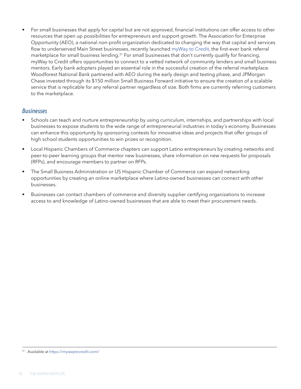• For small businesses that apply for capital but are not approved, financial institutions can offer access to other resources that open up possibilities for entrepreneurs and support growth. The Association for Enterprise Opportunity (AEO), a national non-profit organization dedicated to changing the way that capital and services flow to underserved Main Street businesses, recently launched [myWay to Credit](https://mywaytocredit.com), the first-ever bank referral marketplace for small business lending.<sup>31</sup> For small businesses that don't currently qualify for financing, myWay to Credit offers opportunities to connect to a vetted network of community lenders and small business mentors. Early bank adopters played an essential role in the successful creation of the referral marketplace. Woodforest National Bank partnered with AEO during the early design and testing phase, and JPMorgan Chase invested through its \$150 million Small Business Forward initiative to ensure the creation of a scalable service that is replicable for any referral partner regardless of size. Both firms are currently referring customers to the marketplace.

#### *Businesses*

- Schools can teach and nurture entrepreneurship by using curriculum, internships, and partnerships with local businesses to expose students to the wide range of entrepreneurial industries in today's economy. Businesses can enhance this opportunity by sponsoring contests for innovative ideas and projects that offer groups of high school students opportunities to win prizes or recognition.
- Local Hispanic Chambers of Commerce chapters can support Latino entrepreneurs by creating networks and peer-to-peer learning groups that mentor new businesses, share information on new requests for proposals (RFPs), and encourage members to partner on RFPs.
- The Small Business Administration or US Hispanic Chamber of Commerce can expand networking opportunities by creating an online marketplace where Latino-owned businesses can connect with other businesses.
- Businesses can contact chambers of commerce and diversity supplier certifying organizations to increase access to and knowledge of Latino-owned businesses that are able to meet their procurement needs.

Available at https://mywaytocredit.com/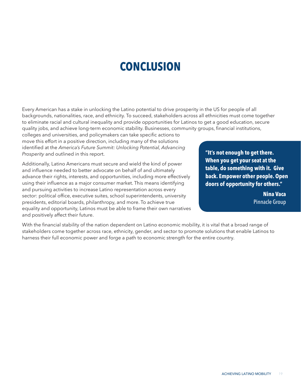# **CONCLUSION**

<span id="page-20-0"></span>Every American has a stake in unlocking the Latino potential to drive prosperity in the US for people of all backgrounds, nationalities, race, and ethnicity. To succeed, stakeholders across all ethnicities must come together to eliminate racial and cultural inequality and provide opportunities for Latinos to get a good education, secure quality jobs, and achieve long-term economic stability. Businesses, community groups, financial institutions,

colleges and universities, and policymakers can take specific actions to move this effort in a positive direction, including many of the solutions identified at the *America's Future Summit: Unlocking Potential, Advancing Prosperity* and outlined in this report.

Additionally, Latino Americans must secure and wield the kind of power and influence needed to better advocate on behalf of and ultimately advance their rights, interests, and opportunities, including more effectively using their influence as a major consumer market. This means identifying and pursuing activities to increase Latino representation across every sector: political office, executive suites, school superintendents, university presidents, editorial boards, philanthropy, and more. To achieve true equality and opportunity, Latinos must be able to frame their own narratives and positively affect their future.

**"It's not enough to get there. When you get your seat at the table, do something with it. Give back. Empower other people. Open doors of opportunity for others."** 

> **Nina Vaca** Pinnacle Group

With the financial stability of the nation dependent on Latino economic mobility, it is vital that a broad range of stakeholders come together across race, ethnicity, gender, and sector to promote solutions that enable Latinos to harness their full economic power and forge a path to economic strength for the entire country.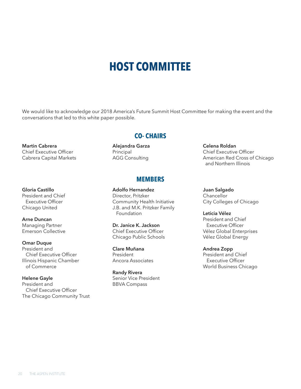# **HOST COMMITTEE**

We would like to acknowledge our 2018 America's Future Summit Host Committee for making the event and the conversations that led to this white paper possible.

**Martin Cabrera**  Chief Executive Officer Cabrera Capital Markets

#### **Gloria Castillo**

President and Chief Executive Officer Chicago United

#### **Arne Duncan** Managing Partner Emerson Collective

#### **Omar Duque** President and Chief Executive Officer Illinois Hispanic Chamber of Commerce

**Helene Gayle**  President and Chief Executive Officer The Chicago Community Trust

### **CO- CHAIRS**

**Alejandra Garza**  Principal AGG Consulting

### **MEMBERS**

**Adolfo Hernandez** Director, Pritzker Community Health Initiative J.B. and M.K. Pritzker Family Foundation

**Dr. Janice K. Jackson** Chief Executive Officer Chicago Public Schools

**Clare Muñana** President Ancora Associates

**Randy Rivera**  Senior Vice President BBVA Compass

**Celena Roldan** Chief Executive Officer American Red Cross of Chicago and Northern Illinois

**Juan Salgado Chancellor** City Colleges of Chicago

**Leticia Vélez**  President and Chief Executive Officer Vélez Global Enterprises Vélez Global Energy

**Andrea Zopp** President and Chief Executive Officer World Business Chicago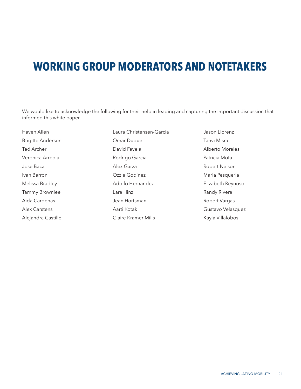# **WORKING GROUP MODERATORS AND NOTETAKERS**

We would like to acknowledge the following for their help in leading and capturing the important discussion that informed this white paper.

Haven Allen Brigitte Anderson Ted Archer Veronica Arreola Jose Baca Ivan Barron Melissa Bradley Tammy Brownlee Aida Cardenas Alex Carstens Alejandra Castillo Laura Christensen-Garcia Omar Duque David Favela Rodrigo Garcia Alex Garza Ozzie Godinez Adolfo Hernandez Lara Hinz Jean Hortsman Aarti Kotak Claire Kramer Mills

Jason Llorenz Tanvi Misra Alberto Morales Patricia Mota Robert Nelson Maria Pesqueria Elizabeth Reynoso Randy Rivera Robert Vargas Gustavo Velasquez Kayla Villalobos